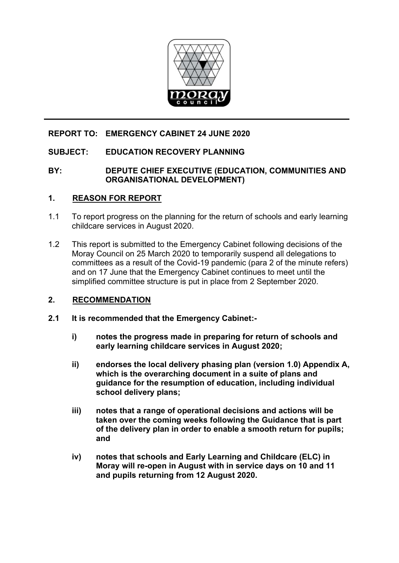

# **REPORT TO: EMERGENCY CABINET 24 JUNE 2020**

# **SUBJECT: EDUCATION RECOVERY PLANNING**

## **BY: DEPUTE CHIEF EXECUTIVE (EDUCATION, COMMUNITIES AND ORGANISATIONAL DEVELOPMENT)**

# **1. REASON FOR REPORT**

- 1.1 To report progress on the planning for the return of schools and early learning childcare services in August 2020.
- 1.2 This report is submitted to the Emergency Cabinet following decisions of the Moray Council on 25 March 2020 to temporarily suspend all delegations to committees as a result of the Covid-19 pandemic (para 2 of the minute refers) and on 17 June that the Emergency Cabinet continues to meet until the simplified committee structure is put in place from 2 September 2020.

# **2. RECOMMENDATION**

- **2.1 It is recommended that the Emergency Cabinet:** 
	- **i) notes the progress made in preparing for return of schools and early learning childcare services in August 2020;**
	- **ii) endorses the local delivery phasing plan (version 1.0) Appendix A, which is the overarching document in a suite of plans and guidance for the resumption of education, including individual school delivery plans;**
	- **iii) notes that a range of operational decisions and actions will be taken over the coming weeks following the Guidance that is part of the delivery plan in order to enable a smooth return for pupils; and**
	- **iv) notes that schools and Early Learning and Childcare (ELC) in Moray will re-open in August with in service days on 10 and 11 and pupils returning from 12 August 2020.**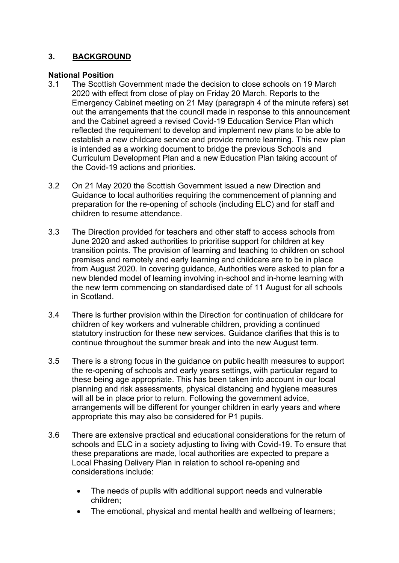# **3. BACKGROUND**

## **National Position**

- 3.1 The Scottish Government made the decision to close schools on 19 March 2020 with effect from close of play on Friday 20 March. Reports to the Emergency Cabinet meeting on 21 May (paragraph 4 of the minute refers) set out the arrangements that the council made in response to this announcement and the Cabinet agreed a revised Covid-19 Education Service Plan which reflected the requirement to develop and implement new plans to be able to establish a new childcare service and provide remote learning. This new plan is intended as a working document to bridge the previous Schools and Curriculum Development Plan and a new Education Plan taking account of the Covid-19 actions and priorities.
- 3.2 On 21 May 2020 the Scottish Government issued a new Direction and Guidance to local authorities requiring the commencement of planning and preparation for the re-opening of schools (including ELC) and for staff and children to resume attendance.
- 3.3 The Direction provided for teachers and other staff to access schools from June 2020 and asked authorities to prioritise support for children at key transition points. The provision of learning and teaching to children on school premises and remotely and early learning and childcare are to be in place from August 2020. In covering guidance, Authorities were asked to plan for a new blended model of learning involving in-school and in-home learning with the new term commencing on standardised date of 11 August for all schools in Scotland.
- 3.4 There is further provision within the Direction for continuation of childcare for children of key workers and vulnerable children, providing a continued statutory instruction for these new services. Guidance clarifies that this is to continue throughout the summer break and into the new August term.
- 3.5 There is a strong focus in the guidance on public health measures to support the re-opening of schools and early years settings, with particular regard to these being age appropriate. This has been taken into account in our local planning and risk assessments, physical distancing and hygiene measures will all be in place prior to return. Following the government advice, arrangements will be different for younger children in early years and where appropriate this may also be considered for P1 pupils.
- 3.6 There are extensive practical and educational considerations for the return of schools and ELC in a society adjusting to living with Covid-19. To ensure that these preparations are made, local authorities are expected to prepare a Local Phasing Delivery Plan in relation to school re-opening and considerations include:
	- The needs of pupils with additional support needs and vulnerable children;
	- The emotional, physical and mental health and wellbeing of learners;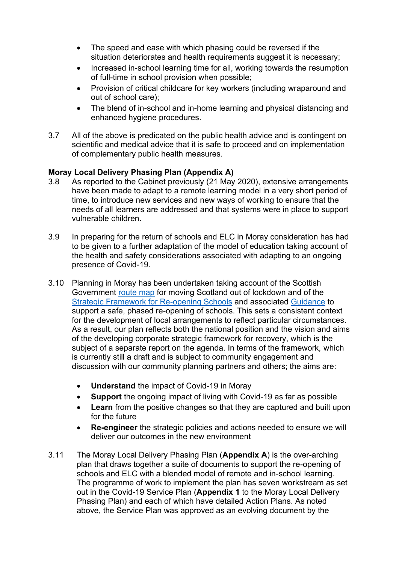- The speed and ease with which phasing could be reversed if the situation deteriorates and health requirements suggest it is necessary;
- Increased in-school learning time for all, working towards the resumption of full-time in school provision when possible;
- Provision of critical childcare for key workers (including wraparound and out of school care);
- The blend of in-school and in-home learning and physical distancing and enhanced hygiene procedures.
- 3.7 All of the above is predicated on the public health advice and is contingent on scientific and medical advice that it is safe to proceed and on implementation of complementary public health measures.

## **Moray Local Delivery Phasing Plan (Appendix A)**

- 3.8 As reported to the Cabinet previously (21 May 2020), extensive arrangements have been made to adapt to a remote learning model in a very short period of time, to introduce new services and new ways of working to ensure that the needs of all learners are addressed and that systems were in place to support vulnerable children.
- 3.9 In preparing for the return of schools and ELC in Moray consideration has had to be given to a further adaptation of the model of education taking account of the health and safety considerations associated with adapting to an ongoing presence of Covid-19.
- 3.10 Planning in Moray has been undertaken taking account of the Scottish Government [route map](https://www.gov.scot/publications/coronavirus-covid-19-framework-decision-making-scotlands-route-map-through-out-crisis/) for moving Scotland out of lockdown and of the [Strategic Framework for Re-opening Schools](https://www.gov.scot/publications/excellent-equity-during-covid-19-pandemic-strategic-framework-reopening-schools-early-learning-childcare-provision-scotland/) and associated [Guidance](https://www.gov.scot/publications/coronavirus-covid-19-re-opening-schools-guide/) to support a safe, phased re-opening of schools. This sets a consistent context for the development of local arrangements to reflect particular circumstances. As a result, our plan reflects both the national position and the vision and aims of the developing corporate strategic framework for recovery, which is the subject of a separate report on the agenda. In terms of the framework, which is currently still a draft and is subject to community engagement and discussion with our community planning partners and others; the aims are:
	- **Understand** the impact of Covid-19 in Moray
	- **Support** the ongoing impact of living with Covid-19 as far as possible
	- **Learn** from the positive changes so that they are captured and built upon for the future
	- **Re-engineer** the strategic policies and actions needed to ensure we will deliver our outcomes in the new environment
- 3.11 The Moray Local Delivery Phasing Plan (**Appendix A**) is the over-arching plan that draws together a suite of documents to support the re-opening of schools and ELC with a blended model of remote and in-school learning. The programme of work to implement the plan has seven workstream as set out in the Covid-19 Service Plan (**Appendix 1** to the Moray Local Delivery Phasing Plan) and each of which have detailed Action Plans. As noted above, the Service Plan was approved as an evolving document by the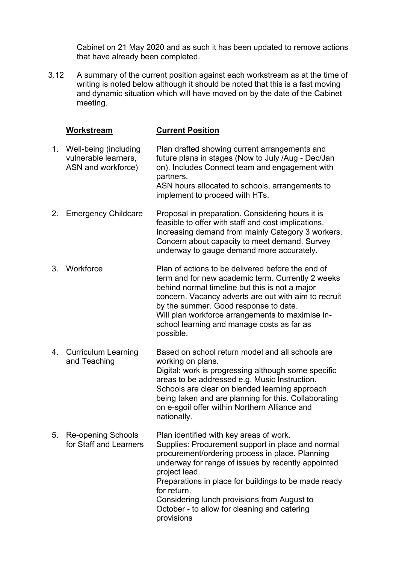Cabinet on 21 May 2020 and as such it has been updated to remove actions that have already been completed.

3.12 A summary of the current position against each workstream as at the time of writing is noted below although it should be noted that this is a fast moving and dynamic situation which will have moved on by the date of the Cabinet meeting.

|    | Workstream                                                             | <b>Current Position</b>                                                                                                                                                                                                                                                                                                                                                                                    |
|----|------------------------------------------------------------------------|------------------------------------------------------------------------------------------------------------------------------------------------------------------------------------------------------------------------------------------------------------------------------------------------------------------------------------------------------------------------------------------------------------|
|    | 1. Well-being (including<br>vulnerable learners,<br>ASN and workforce) | Plan drafted showing current arrangements and<br>future plans in stages (Now to July /Aug - Dec/Jan<br>on). Includes Connect team and engagement with<br>partners.<br>ASN hours allocated to schools, arrangements to<br>implement to proceed with HTs.                                                                                                                                                    |
| 2. | <b>Emergency Childcare</b>                                             | Proposal in preparation. Considering hours it is<br>feasible to offer with staff and cost implications.<br>Increasing demand from mainly Category 3 workers.<br>Concern about capacity to meet demand. Survey<br>underway to gauge demand more accurately.                                                                                                                                                 |
| 3. | Workforce                                                              | Plan of actions to be delivered before the end of<br>term and for new academic term. Currently 2 weeks<br>behind normal timeline but this is not a major<br>concern. Vacancy adverts are out with aim to recruit<br>by the summer. Good response to date.<br>Will plan workforce arrangements to maximise in-<br>school learning and manage costs as far as<br>possible.                                   |
|    | 4. Curriculum Learning<br>and Teaching                                 | Based on school return model and all schools are<br>working on plans.<br>Digital: work is progressing although some specific<br>areas to be addressed e.g. Music Instruction.<br>Schools are clear on blended learning approach<br>being taken and are planning for this. Collaborating<br>on e-sgoil offer within Northern Alliance and<br>nationally.                                                    |
| 5. | <b>Re-opening Schools</b><br>for Staff and Learners                    | Plan identified with key areas of work.<br>Supplies: Procurement support in place and normal<br>procurement/ordering process in place. Planning<br>underway for range of issues by recently appointed<br>project lead.<br>Preparations in place for buildings to be made ready<br>for return.<br>Considering lunch provisions from August to<br>October - to allow for cleaning and catering<br>provisions |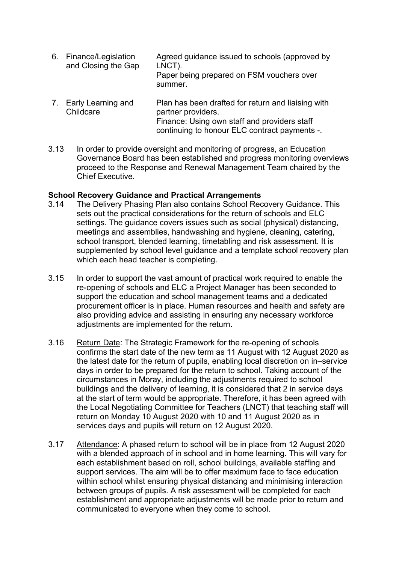- 6. Finance/Legislation and Closing the Gap Agreed guidance issued to schools (approved by LNCT). Paper being prepared on FSM vouchers over summer.
- 7. Early Learning and **Childcare** Plan has been drafted for return and liaising with partner providers. Finance: Using own staff and providers staff continuing to honour ELC contract payments -.
- 3.13 In order to provide oversight and monitoring of progress, an Education Governance Board has been established and progress monitoring overviews proceed to the Response and Renewal Management Team chaired by the Chief Executive.

#### **School Recovery Guidance and Practical Arrangements**

- 3.14 The Delivery Phasing Plan also contains School Recovery Guidance. This sets out the practical considerations for the return of schools and ELC settings. The guidance covers issues such as social (physical) distancing, meetings and assemblies, handwashing and hygiene, cleaning, catering, school transport, blended learning, timetabling and risk assessment. It is supplemented by school level guidance and a template school recovery plan which each head teacher is completing.
- 3.15 In order to support the vast amount of practical work required to enable the re-opening of schools and ELC a Project Manager has been seconded to support the education and school management teams and a dedicated procurement officer is in place. Human resources and health and safety are also providing advice and assisting in ensuring any necessary workforce adjustments are implemented for the return.
- 3.16 Return Date: The Strategic Framework for the re-opening of schools confirms the start date of the new term as 11 August with 12 August 2020 as the latest date for the return of pupils, enabling local discretion on in–service days in order to be prepared for the return to school. Taking account of the circumstances in Moray, including the adjustments required to school buildings and the delivery of learning, it is considered that 2 in service days at the start of term would be appropriate. Therefore, it has been agreed with the Local Negotiating Committee for Teachers (LNCT) that teaching staff will return on Monday 10 August 2020 with 10 and 11 August 2020 as in services days and pupils will return on 12 August 2020.
- 3.17 Attendance: A phased return to school will be in place from 12 August 2020 with a blended approach of in school and in home learning. This will vary for each establishment based on roll, school buildings, available staffing and support services. The aim will be to offer maximum face to face education within school whilst ensuring physical distancing and minimising interaction between groups of pupils. A risk assessment will be completed for each establishment and appropriate adjustments will be made prior to return and communicated to everyone when they come to school.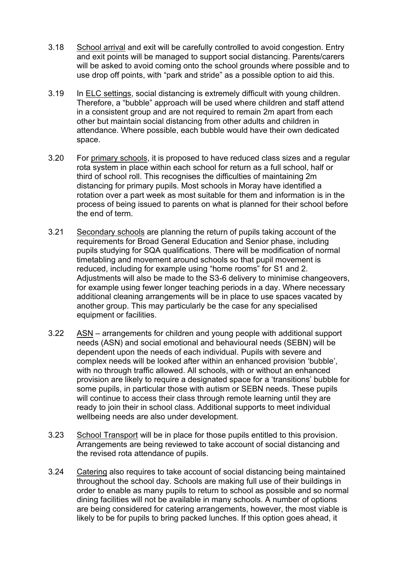- 3.18 School arrival and exit will be carefully controlled to avoid congestion. Entry and exit points will be managed to support social distancing. Parents/carers will be asked to avoid coming onto the school grounds where possible and to use drop off points, with "park and stride" as a possible option to aid this.
- 3.19 In ELC settings, social distancing is extremely difficult with young children. Therefore, a "bubble" approach will be used where children and staff attend in a consistent group and are not required to remain 2m apart from each other but maintain social distancing from other adults and children in attendance. Where possible, each bubble would have their own dedicated space.
- 3.20 For primary schools, it is proposed to have reduced class sizes and a regular rota system in place within each school for return as a full school, half or third of school roll. This recognises the difficulties of maintaining 2m distancing for primary pupils. Most schools in Moray have identified a rotation over a part week as most suitable for them and information is in the process of being issued to parents on what is planned for their school before the end of term.
- 3.21 Secondary schools are planning the return of pupils taking account of the requirements for Broad General Education and Senior phase, including pupils studying for SQA qualifications. There will be modification of normal timetabling and movement around schools so that pupil movement is reduced, including for example using "home rooms" for S1 and 2. Adjustments will also be made to the S3-6 delivery to minimise changeovers, for example using fewer longer teaching periods in a day. Where necessary additional cleaning arrangements will be in place to use spaces vacated by another group. This may particularly be the case for any specialised equipment or facilities.
- 3.22 ASN arrangements for children and young people with additional support needs (ASN) and social emotional and behavioural needs (SEBN) will be dependent upon the needs of each individual. Pupils with severe and complex needs will be looked after within an enhanced provision 'bubble', with no through traffic allowed. All schools, with or without an enhanced provision are likely to require a designated space for a 'transitions' bubble for some pupils, in particular those with autism or SEBN needs. These pupils will continue to access their class through remote learning until they are ready to join their in school class. Additional supports to meet individual wellbeing needs are also under development.
- 3.23 School Transport will be in place for those pupils entitled to this provision. Arrangements are being reviewed to take account of social distancing and the revised rota attendance of pupils.
- 3.24 Catering also requires to take account of social distancing being maintained throughout the school day. Schools are making full use of their buildings in order to enable as many pupils to return to school as possible and so normal dining facilities will not be available in many schools. A number of options are being considered for catering arrangements, however, the most viable is likely to be for pupils to bring packed lunches. If this option goes ahead, it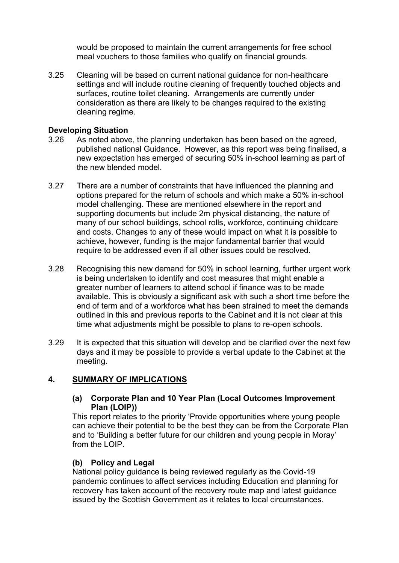would be proposed to maintain the current arrangements for free school meal vouchers to those families who qualify on financial grounds.

3.25 Cleaning will be based on current national guidance for non-healthcare settings and will include routine cleaning of frequently touched objects and surfaces, routine toilet cleaning. Arrangements are currently under consideration as there are likely to be changes required to the existing cleaning regime.

#### **Developing Situation**

- 3.26 As noted above, the planning undertaken has been based on the agreed, published national Guidance. However, as this report was being finalised, a new expectation has emerged of securing 50% in-school learning as part of the new blended model
- 3.27 There are a number of constraints that have influenced the planning and options prepared for the return of schools and which make a 50% in-school model challenging. These are mentioned elsewhere in the report and supporting documents but include 2m physical distancing, the nature of many of our school buildings, school rolls, workforce, continuing childcare and costs. Changes to any of these would impact on what it is possible to achieve, however, funding is the major fundamental barrier that would require to be addressed even if all other issues could be resolved.
- 3.28 Recognising this new demand for 50% in school learning, further urgent work is being undertaken to identify and cost measures that might enable a greater number of learners to attend school if finance was to be made available. This is obviously a significant ask with such a short time before the end of term and of a workforce what has been strained to meet the demands outlined in this and previous reports to the Cabinet and it is not clear at this time what adjustments might be possible to plans to re-open schools.
- 3.29 It is expected that this situation will develop and be clarified over the next few days and it may be possible to provide a verbal update to the Cabinet at the meeting.

#### **4. SUMMARY OF IMPLICATIONS**

#### **(a) Corporate Plan and 10 Year Plan (Local Outcomes Improvement Plan (LOIP))**

This report relates to the priority 'Provide opportunities where young people can achieve their potential to be the best they can be from the Corporate Plan and to 'Building a better future for our children and young people in Moray' from the LOIP.

#### **(b) Policy and Legal**

National policy guidance is being reviewed regularly as the Covid-19 pandemic continues to affect services including Education and planning for recovery has taken account of the recovery route map and latest guidance issued by the Scottish Government as it relates to local circumstances.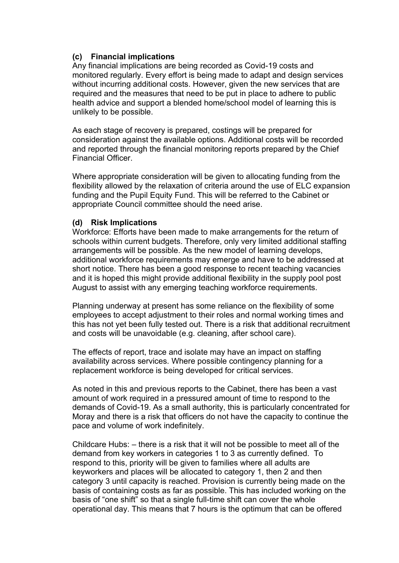### **(c) Financial implications**

Any financial implications are being recorded as Covid-19 costs and monitored regularly. Every effort is being made to adapt and design services without incurring additional costs. However, given the new services that are required and the measures that need to be put in place to adhere to public health advice and support a blended home/school model of learning this is unlikely to be possible.

As each stage of recovery is prepared, costings will be prepared for consideration against the available options. Additional costs will be recorded and reported through the financial monitoring reports prepared by the Chief Financial Officer.

Where appropriate consideration will be given to allocating funding from the flexibility allowed by the relaxation of criteria around the use of ELC expansion funding and the Pupil Equity Fund. This will be referred to the Cabinet or appropriate Council committee should the need arise.

#### **(d) Risk Implications**

Workforce: Efforts have been made to make arrangements for the return of schools within current budgets. Therefore, only very limited additional staffing arrangements will be possible. As the new model of learning develops, additional workforce requirements may emerge and have to be addressed at short notice. There has been a good response to recent teaching vacancies and it is hoped this might provide additional flexibility in the supply pool post August to assist with any emerging teaching workforce requirements.

Planning underway at present has some reliance on the flexibility of some employees to accept adjustment to their roles and normal working times and this has not yet been fully tested out. There is a risk that additional recruitment and costs will be unavoidable (e.g. cleaning, after school care).

The effects of report, trace and isolate may have an impact on staffing availability across services. Where possible contingency planning for a replacement workforce is being developed for critical services.

As noted in this and previous reports to the Cabinet, there has been a vast amount of work required in a pressured amount of time to respond to the demands of Covid-19. As a small authority, this is particularly concentrated for Moray and there is a risk that officers do not have the capacity to continue the pace and volume of work indefinitely.

Childcare Hubs: – there is a risk that it will not be possible to meet all of the demand from key workers in categories 1 to 3 as currently defined. To respond to this, priority will be given to families where all adults are keyworkers and places will be allocated to category 1, then 2 and then category 3 until capacity is reached. Provision is currently being made on the basis of containing costs as far as possible. This has included working on the basis of "one shift" so that a single full-time shift can cover the whole operational day. This means that 7 hours is the optimum that can be offered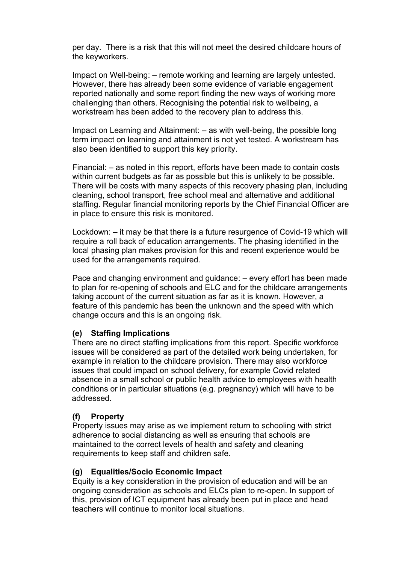per day. There is a risk that this will not meet the desired childcare hours of the keyworkers.

Impact on Well-being: – remote working and learning are largely untested. However, there has already been some evidence of variable engagement reported nationally and some report finding the new ways of working more challenging than others. Recognising the potential risk to wellbeing, a workstream has been added to the recovery plan to address this.

Impact on Learning and Attainment: – as with well-being, the possible long term impact on learning and attainment is not yet tested. A workstream has also been identified to support this key priority.

Financial: – as noted in this report, efforts have been made to contain costs within current budgets as far as possible but this is unlikely to be possible. There will be costs with many aspects of this recovery phasing plan, including cleaning, school transport, free school meal and alternative and additional staffing. Regular financial monitoring reports by the Chief Financial Officer are in place to ensure this risk is monitored.

Lockdown: – it may be that there is a future resurgence of Covid-19 which will require a roll back of education arrangements. The phasing identified in the local phasing plan makes provision for this and recent experience would be used for the arrangements required.

Pace and changing environment and guidance: – every effort has been made to plan for re-opening of schools and ELC and for the childcare arrangements taking account of the current situation as far as it is known. However, a feature of this pandemic has been the unknown and the speed with which change occurs and this is an ongoing risk.

#### **(e) Staffing Implications**

 There are no direct staffing implications from this report. Specific workforce issues will be considered as part of the detailed work being undertaken, for example in relation to the childcare provision. There may also workforce issues that could impact on school delivery, for example Covid related absence in a small school or public health advice to employees with health conditions or in particular situations (e.g. pregnancy) which will have to be addressed.

# **(f) Property**

Property issues may arise as we implement return to schooling with strict adherence to social distancing as well as ensuring that schools are maintained to the correct levels of health and safety and cleaning requirements to keep staff and children safe.

#### **(g) Equalities/Socio Economic Impact**

Equity is a key consideration in the provision of education and will be an ongoing consideration as schools and ELCs plan to re-open. In support of this, provision of ICT equipment has already been put in place and head teachers will continue to monitor local situations.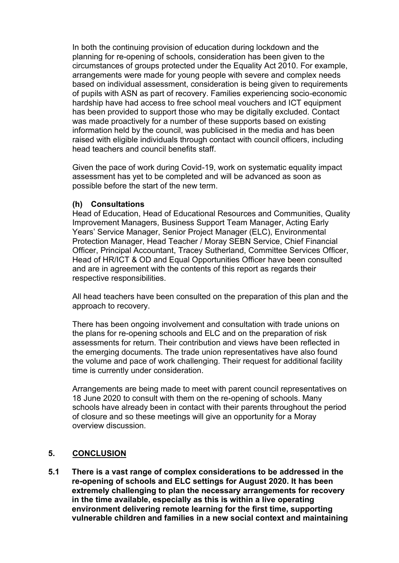In both the continuing provision of education during lockdown and the planning for re-opening of schools, consideration has been given to the circumstances of groups protected under the Equality Act 2010. For example, arrangements were made for young people with severe and complex needs based on individual assessment, consideration is being given to requirements of pupils with ASN as part of recovery. Families experiencing socio-economic hardship have had access to free school meal vouchers and ICT equipment has been provided to support those who may be digitally excluded. Contact was made proactively for a number of these supports based on existing information held by the council, was publicised in the media and has been raised with eligible individuals through contact with council officers, including head teachers and council benefits staff.

Given the pace of work during Covid-19, work on systematic equality impact assessment has yet to be completed and will be advanced as soon as possible before the start of the new term.

#### **(h) Consultations**

Head of Education, Head of Educational Resources and Communities, Quality Improvement Managers, Business Support Team Manager, Acting Early Years' Service Manager, Senior Project Manager (ELC), Environmental Protection Manager, Head Teacher / Moray SEBN Service, Chief Financial Officer, Principal Accountant, Tracey Sutherland, Committee Services Officer, Head of HR/ICT & OD and Equal Opportunities Officer have been consulted and are in agreement with the contents of this report as regards their respective responsibilities.

All head teachers have been consulted on the preparation of this plan and the approach to recovery.

There has been ongoing involvement and consultation with trade unions on the plans for re-opening schools and ELC and on the preparation of risk assessments for return. Their contribution and views have been reflected in the emerging documents. The trade union representatives have also found the volume and pace of work challenging. Their request for additional facility time is currently under consideration.

Arrangements are being made to meet with parent council representatives on 18 June 2020 to consult with them on the re-opening of schools. Many schools have already been in contact with their parents throughout the period of closure and so these meetings will give an opportunity for a Moray overview discussion.

#### **5. CONCLUSION**

**5.1 There is a vast range of complex considerations to be addressed in the re-opening of schools and ELC settings for August 2020. It has been extremely challenging to plan the necessary arrangements for recovery in the time available, especially as this is within a live operating environment delivering remote learning for the first time, supporting vulnerable children and families in a new social context and maintaining**